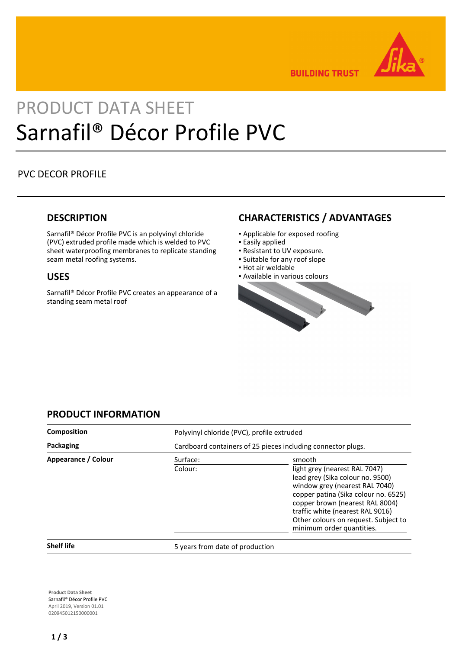

**BUILDING TRUST** 

# PRODUCT DATA SHEET Sarnafil® Décor Profile PVC

# PVC DECOR PROFILE

# **DESCRIPTION**

Sarnafil® Décor Profile PVC is an polyvinyl chloride (PVC) extruded profile made which is welded to PVC sheet waterproofing membranes to replicate standing seam metal roofing systems.

# **USES**

Sarnafil® Décor Profile PVC creates an appearance of a standing seam metal roof

# **CHARACTERISTICS / ADVANTAGES**

- Applicable for exposed roofing
- **Easily applied**
- Resistant to UV exposure.
- Suitable for any roof slope
- Hot air weldable
- Available in various colours



# **PRODUCT INFORMATION**

| <b>Composition</b>  |                                                              | Polyvinyl chloride (PVC), profile extruded                                                                                                                                                                                                                                                        |  |
|---------------------|--------------------------------------------------------------|---------------------------------------------------------------------------------------------------------------------------------------------------------------------------------------------------------------------------------------------------------------------------------------------------|--|
| Packaging           | Cardboard containers of 25 pieces including connector plugs. |                                                                                                                                                                                                                                                                                                   |  |
| Appearance / Colour | Surface:<br>Colour:                                          | smooth<br>light grey (nearest RAL 7047)<br>lead grey (Sika colour no. 9500)<br>window grey (nearest RAL 7040)<br>copper patina (Sika colour no. 6525)<br>copper brown (nearest RAL 8004)<br>traffic white (nearest RAL 9016)<br>Other colours on request. Subject to<br>minimum order quantities. |  |

**Shelf life** 5 years from date of production

**Product Data Sheet** Sarnafil® Décor Profile PVC April 2019, Version 01.01 020945012150000001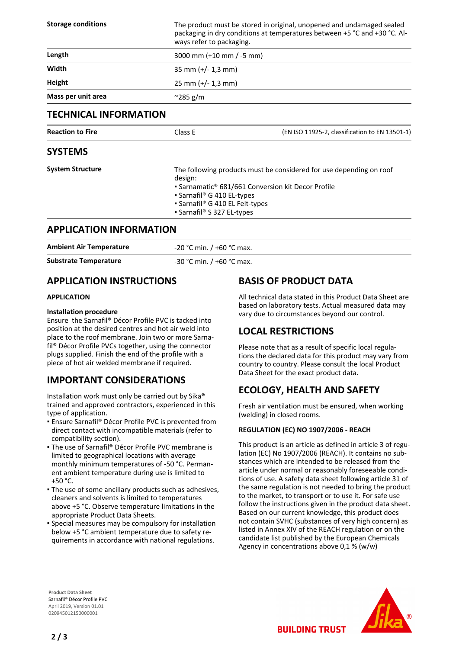| <b>Storage conditions</b>    | The product must be stored in original, unopened and undamaged sealed<br>packaging in dry conditions at temperatures between +5 °C and +30 °C. Al-<br>ways refer to packaging. |                                                |
|------------------------------|--------------------------------------------------------------------------------------------------------------------------------------------------------------------------------|------------------------------------------------|
| Length                       | 3000 mm $(+10$ mm $/-5$ mm)                                                                                                                                                    |                                                |
| Width                        | $35$ mm (+/- 1,3 mm)                                                                                                                                                           |                                                |
| Height                       | $25 \text{ mm } (+/- 1.3 \text{ mm})$                                                                                                                                          |                                                |
| Mass per unit area           | $\approx$ 285 g/m                                                                                                                                                              |                                                |
| <b>TECHNICAL INFORMATION</b> |                                                                                                                                                                                |                                                |
| <b>Reaction to Fire</b>      | Class E                                                                                                                                                                        | (EN ISO 11925-2, classification to EN 13501-1) |
| <b>SYSTEMS</b>               |                                                                                                                                                                                |                                                |

| <b>System Structure</b> | • Sarnamatic <sup>®</sup> 681/661 Conversion kit Decor Profile<br>• Sarnafil <sup>®</sup> G 410 EL-types |
|-------------------------|----------------------------------------------------------------------------------------------------------|
|                         | • Sarnafil® G 410 EL Felt-types<br>• Sarnafil® S 327 EL-types                                            |

# **APPLICATION INFORMATION**

| <b>Ambient Air Temperature</b> | $-20$ °C min. / +60 °C max. |
|--------------------------------|-----------------------------|
| <b>Substrate Temperature</b>   | $-30$ °C min. / +60 °C max. |

# **APPLICATION INSTRUCTIONS**

### **APPLICATION**

### **Installation procedure**

Ensure the Sarnafil® Décor Profile PVC is tacked into position at the desired centres and hot air weld into place to the roof membrane. Join two or more Sarnafil® Décor Profile PVCs together, using the connector plugs supplied. Finish the end of the profile with a piece of hot air welded membrane if required.

# **IMPORTANT CONSIDERATIONS**

Installation work must only be carried out by Sika® trained and approved contractors, experienced in this type of application.

- Ensure Sarnafil® Décor Profile PVC is prevented from direct contact with incompatible materials (refer to compatibility section).
- The use of Sarnafil® Décor Profile PVC membrane is limited to geographical locations with average monthly minimum temperatures of -50 °C. Permanent ambient temperature during use is limited to +50 °C.
- . The use of some ancillary products such as adhesives, cleaners and solvents is limited to temperatures above +5 °C. Observe temperature limitations in the appropriate Product Data Sheets.
- **•** Special measures may be compulsory for installation below +5 °C ambient temperature due to safety requirements in accordance with national regulations.

# **BASIS OF PRODUCT DATA**

All technical data stated in this Product Data Sheet are based on laboratory tests. Actual measured data may vary due to circumstances beyond our control.

# **LOCAL RESTRICTIONS**

Please note that as a result of specific local regulations the declared data for this product may vary from country to country. Please consult the local Product Data Sheet for the exact product data.

# **ECOLOGY, HEALTH AND SAFETY**

Fresh air ventilation must be ensured, when working (welding) in closed rooms.

## **REGULATION (EC) NO 1907/2006 - REACH**

This product is an article as defined in article 3 of regulation (EC) No 1907/2006 (REACH). It contains no substances which are intended to be released from the article under normal or reasonably foreseeable conditions of use. A safety data sheet following article 31 of the same regulation is not needed to bring the product to the market, to transport or to use it. For safe use follow the instructions given in the product data sheet. Based on our current knowledge, this product does not contain SVHC (substances of very high concern) as listed in Annex XIV of the REACH regulation or on the candidate list published by the European Chemicals Agency in concentrations above 0,1 % (w/w)

**BUILDING TRUST** 

**Product Data Sheet** Sarnafil® Décor Profile PVC April 2019, Version 01.01 020945012150000001